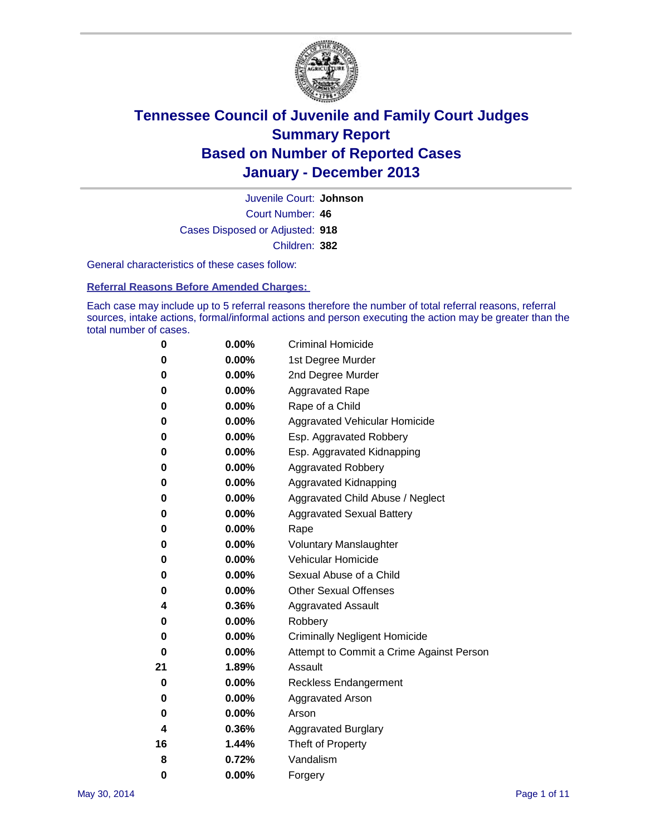

Court Number: **46** Juvenile Court: **Johnson** Cases Disposed or Adjusted: **918** Children: **382**

General characteristics of these cases follow:

**Referral Reasons Before Amended Charges:** 

Each case may include up to 5 referral reasons therefore the number of total referral reasons, referral sources, intake actions, formal/informal actions and person executing the action may be greater than the total number of cases.

| 0  | $0.00\%$ | <b>Criminal Homicide</b>                 |
|----|----------|------------------------------------------|
| 0  | 0.00%    | 1st Degree Murder                        |
| 0  | 0.00%    | 2nd Degree Murder                        |
| 0  | $0.00\%$ | <b>Aggravated Rape</b>                   |
| 0  | 0.00%    | Rape of a Child                          |
| 0  | 0.00%    | <b>Aggravated Vehicular Homicide</b>     |
| 0  | $0.00\%$ | Esp. Aggravated Robbery                  |
| 0  | 0.00%    | Esp. Aggravated Kidnapping               |
| 0  | 0.00%    | <b>Aggravated Robbery</b>                |
| 0  | $0.00\%$ | Aggravated Kidnapping                    |
| 0  | 0.00%    | Aggravated Child Abuse / Neglect         |
| 0  | 0.00%    | <b>Aggravated Sexual Battery</b>         |
| 0  | $0.00\%$ | Rape                                     |
| 0  | 0.00%    | <b>Voluntary Manslaughter</b>            |
| 0  | 0.00%    | Vehicular Homicide                       |
| 0  | $0.00\%$ | Sexual Abuse of a Child                  |
| 0  | 0.00%    | <b>Other Sexual Offenses</b>             |
| 4  | 0.36%    | <b>Aggravated Assault</b>                |
| 0  | 0.00%    | Robbery                                  |
| 0  | 0.00%    | <b>Criminally Negligent Homicide</b>     |
| 0  | 0.00%    | Attempt to Commit a Crime Against Person |
| 21 | 1.89%    | Assault                                  |
| 0  | 0.00%    | <b>Reckless Endangerment</b>             |
| 0  | 0.00%    | <b>Aggravated Arson</b>                  |
| 0  | 0.00%    | Arson                                    |
| 4  | 0.36%    | <b>Aggravated Burglary</b>               |
| 16 | 1.44%    | Theft of Property                        |
| 8  | 0.72%    | Vandalism                                |
| 0  | 0.00%    | Forgery                                  |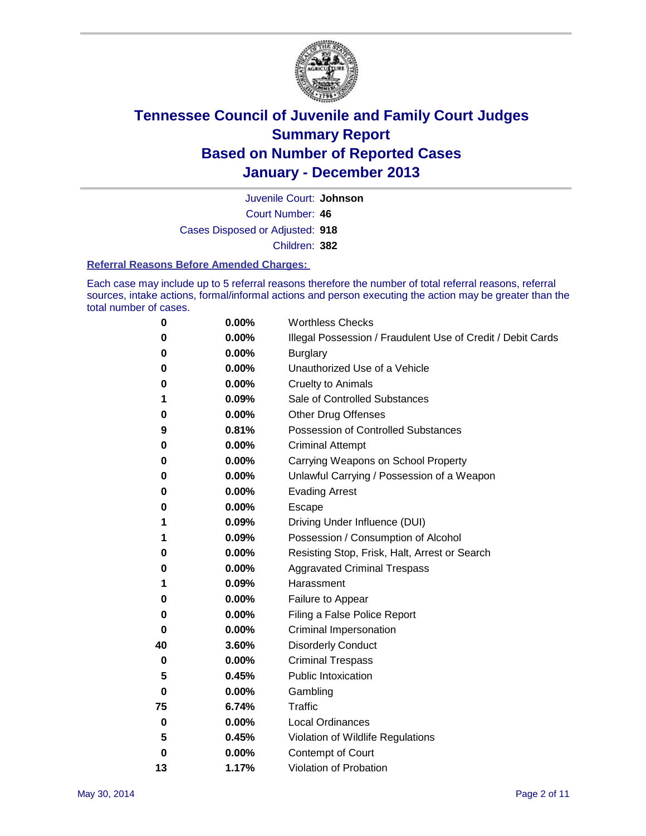

Court Number: **46** Juvenile Court: **Johnson** Cases Disposed or Adjusted: **918** Children: **382**

#### **Referral Reasons Before Amended Charges:**

Each case may include up to 5 referral reasons therefore the number of total referral reasons, referral sources, intake actions, formal/informal actions and person executing the action may be greater than the total number of cases.

| 0  | 0.00% | <b>Worthless Checks</b>                                     |
|----|-------|-------------------------------------------------------------|
| 0  | 0.00% | Illegal Possession / Fraudulent Use of Credit / Debit Cards |
| 0  | 0.00% | <b>Burglary</b>                                             |
| 0  | 0.00% | Unauthorized Use of a Vehicle                               |
| 0  | 0.00% | <b>Cruelty to Animals</b>                                   |
| 1  | 0.09% | Sale of Controlled Substances                               |
| 0  | 0.00% | <b>Other Drug Offenses</b>                                  |
| 9  | 0.81% | <b>Possession of Controlled Substances</b>                  |
| 0  | 0.00% | <b>Criminal Attempt</b>                                     |
| 0  | 0.00% | Carrying Weapons on School Property                         |
| 0  | 0.00% | Unlawful Carrying / Possession of a Weapon                  |
| 0  | 0.00% | <b>Evading Arrest</b>                                       |
| 0  | 0.00% | Escape                                                      |
| 1  | 0.09% | Driving Under Influence (DUI)                               |
| 1  | 0.09% | Possession / Consumption of Alcohol                         |
| 0  | 0.00% | Resisting Stop, Frisk, Halt, Arrest or Search               |
| 0  | 0.00% | <b>Aggravated Criminal Trespass</b>                         |
| 1  | 0.09% | Harassment                                                  |
| 0  | 0.00% | Failure to Appear                                           |
| 0  | 0.00% | Filing a False Police Report                                |
| 0  | 0.00% | Criminal Impersonation                                      |
| 40 | 3.60% | <b>Disorderly Conduct</b>                                   |
| 0  | 0.00% | <b>Criminal Trespass</b>                                    |
| 5  | 0.45% | <b>Public Intoxication</b>                                  |
| 0  | 0.00% | Gambling                                                    |
| 75 | 6.74% | <b>Traffic</b>                                              |
| 0  | 0.00% | Local Ordinances                                            |
| 5  | 0.45% | Violation of Wildlife Regulations                           |
| 0  | 0.00% | Contempt of Court                                           |
| 13 | 1.17% | Violation of Probation                                      |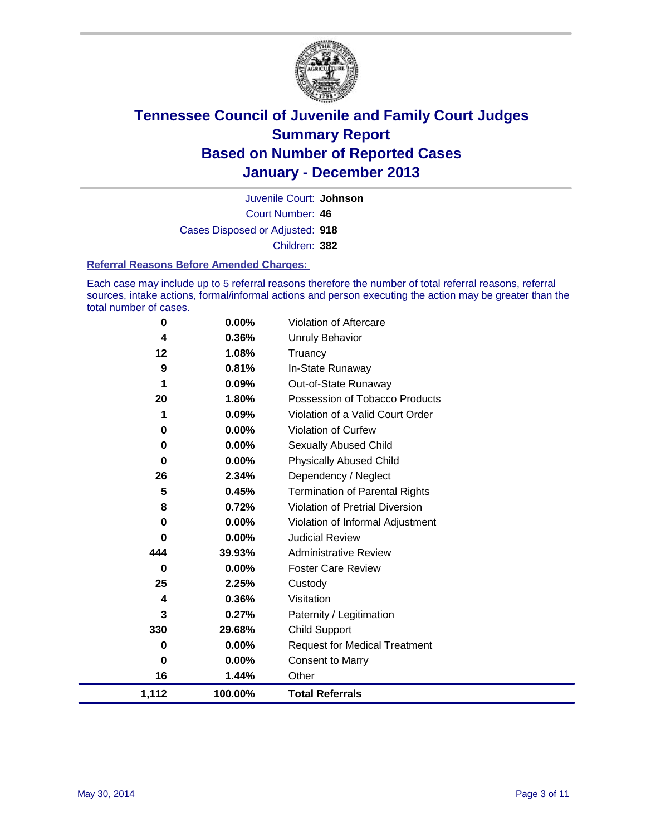

Court Number: **46** Juvenile Court: **Johnson** Cases Disposed or Adjusted: **918** Children: **382**

#### **Referral Reasons Before Amended Charges:**

Each case may include up to 5 referral reasons therefore the number of total referral reasons, referral sources, intake actions, formal/informal actions and person executing the action may be greater than the total number of cases.

| 0     | 0.00%    | <b>Violation of Aftercare</b>          |
|-------|----------|----------------------------------------|
| 4     | 0.36%    | <b>Unruly Behavior</b>                 |
| 12    | 1.08%    | Truancy                                |
| 9     | 0.81%    | In-State Runaway                       |
| 1     | 0.09%    | Out-of-State Runaway                   |
| 20    | 1.80%    | Possession of Tobacco Products         |
| 1     | 0.09%    | Violation of a Valid Court Order       |
| 0     | 0.00%    | Violation of Curfew                    |
| 0     | 0.00%    | Sexually Abused Child                  |
| 0     | 0.00%    | <b>Physically Abused Child</b>         |
| 26    | 2.34%    | Dependency / Neglect                   |
| 5     | 0.45%    | <b>Termination of Parental Rights</b>  |
| 8     | 0.72%    | <b>Violation of Pretrial Diversion</b> |
| 0     | 0.00%    | Violation of Informal Adjustment       |
| 0     | 0.00%    | <b>Judicial Review</b>                 |
| 444   | 39.93%   | <b>Administrative Review</b>           |
| 0     | 0.00%    | <b>Foster Care Review</b>              |
| 25    | 2.25%    | Custody                                |
| 4     | 0.36%    | Visitation                             |
| 3     | 0.27%    | Paternity / Legitimation               |
| 330   | 29.68%   | <b>Child Support</b>                   |
| 0     | 0.00%    | <b>Request for Medical Treatment</b>   |
| 0     | $0.00\%$ | <b>Consent to Marry</b>                |
| 16    | 1.44%    | Other                                  |
| 1,112 | 100.00%  | <b>Total Referrals</b>                 |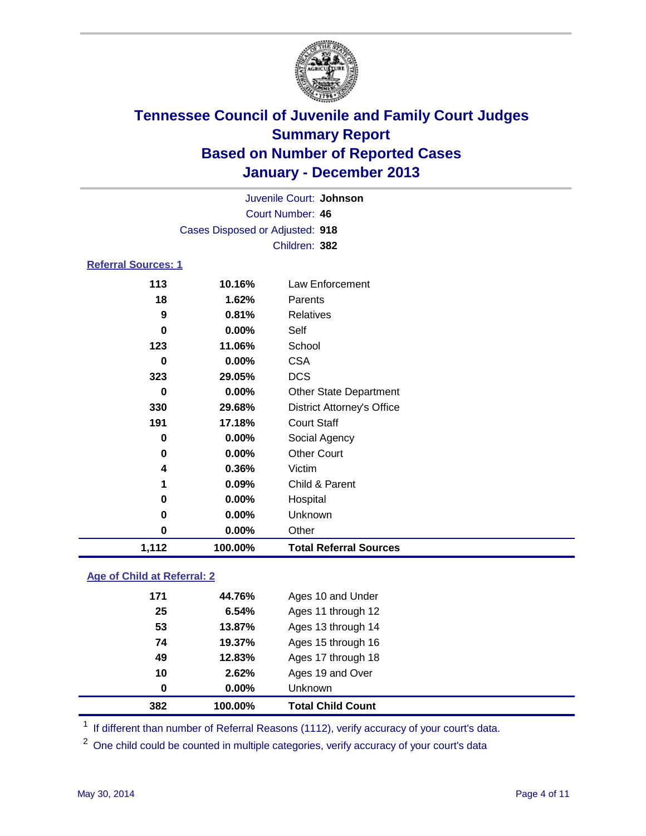

|                            |                                 | Juvenile Court: Johnson           |  |
|----------------------------|---------------------------------|-----------------------------------|--|
|                            |                                 | Court Number: 46                  |  |
|                            | Cases Disposed or Adjusted: 918 |                                   |  |
|                            |                                 | Children: 382                     |  |
| <b>Referral Sources: 1</b> |                                 |                                   |  |
| 113                        | 10.16%                          | Law Enforcement                   |  |
| 18                         | 1.62%                           | Parents                           |  |
| 9                          | 0.81%                           | <b>Relatives</b>                  |  |
| 0                          | $0.00\%$                        | Self                              |  |
| 123                        | 11.06%                          | School                            |  |
| $\bf{0}$                   | $0.00\%$                        | <b>CSA</b>                        |  |
| 323                        | 29.05%                          | <b>DCS</b>                        |  |
| $\bf{0}$                   | 0.00%                           | <b>Other State Department</b>     |  |
| 330                        | 29.68%                          | <b>District Attorney's Office</b> |  |
| 191                        | 17.18%                          | <b>Court Staff</b>                |  |
| 0                          | 0.00%                           | Social Agency                     |  |
| 0                          | 0.00%                           | <b>Other Court</b>                |  |
| 4                          | 0.36%                           | Victim                            |  |
| 1                          | 0.09%                           | Child & Parent                    |  |
| 0                          | 0.00%                           | Hospital                          |  |
| 0                          | 0.00%                           | Unknown                           |  |
| 0                          | 0.00%                           | Other                             |  |
| 1,112                      | 100.00%                         | <b>Total Referral Sources</b>     |  |

### **Age of Child at Referral: 2**

| 382 | 100.00% | <b>Total Child Count</b> |  |
|-----|---------|--------------------------|--|
| 0   | 0.00%   | <b>Unknown</b>           |  |
| 10  | 2.62%   | Ages 19 and Over         |  |
| 49  | 12.83%  | Ages 17 through 18       |  |
| 74  | 19.37%  | Ages 15 through 16       |  |
| 53  | 13.87%  | Ages 13 through 14       |  |
| 25  | 6.54%   | Ages 11 through 12       |  |
| 171 | 44.76%  | Ages 10 and Under        |  |
|     |         |                          |  |

<sup>1</sup> If different than number of Referral Reasons (1112), verify accuracy of your court's data.

<sup>2</sup> One child could be counted in multiple categories, verify accuracy of your court's data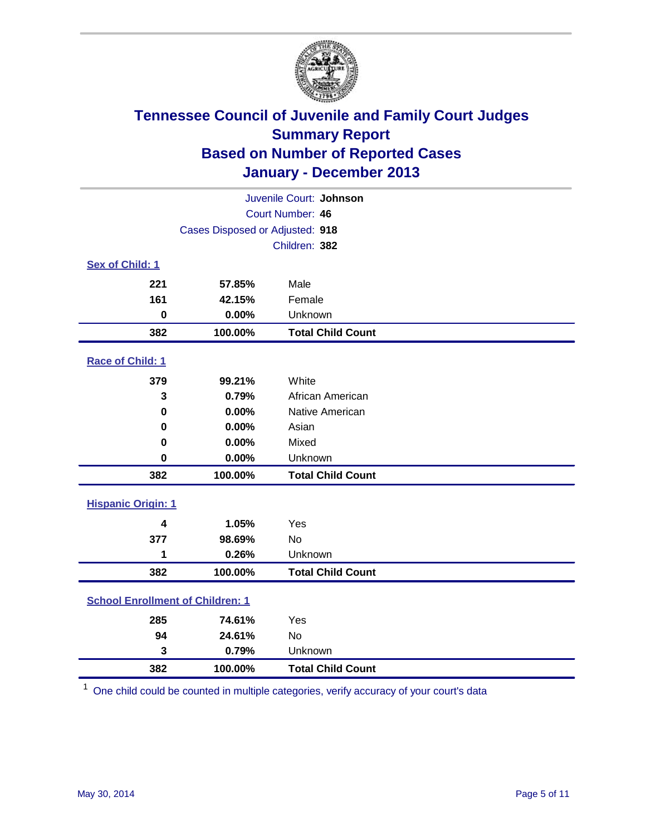

| Juvenile Court: Johnson                 |                                 |                          |  |  |
|-----------------------------------------|---------------------------------|--------------------------|--|--|
|                                         | Court Number: 46                |                          |  |  |
|                                         | Cases Disposed or Adjusted: 918 |                          |  |  |
|                                         |                                 | Children: 382            |  |  |
| Sex of Child: 1                         |                                 |                          |  |  |
| 221                                     | 57.85%                          | Male                     |  |  |
| 161                                     | 42.15%                          | Female                   |  |  |
| $\bf{0}$                                | 0.00%                           | Unknown                  |  |  |
| 382                                     | 100.00%                         | <b>Total Child Count</b> |  |  |
| Race of Child: 1                        |                                 |                          |  |  |
| 379                                     | 99.21%                          | White                    |  |  |
| 3                                       | 0.79%                           | African American         |  |  |
| $\bf{0}$                                | 0.00%                           | Native American          |  |  |
| 0                                       | 0.00%                           | Asian                    |  |  |
| 0                                       | 0.00%                           | Mixed                    |  |  |
| $\bf{0}$                                | 0.00%                           | Unknown                  |  |  |
| 382                                     | 100.00%                         | <b>Total Child Count</b> |  |  |
| <b>Hispanic Origin: 1</b>               |                                 |                          |  |  |
| 4                                       | 1.05%                           | Yes                      |  |  |
| 377                                     | 98.69%                          | No                       |  |  |
| 1                                       | 0.26%                           | Unknown                  |  |  |
| 382                                     | 100.00%                         | <b>Total Child Count</b> |  |  |
| <b>School Enrollment of Children: 1</b> |                                 |                          |  |  |
| 285                                     | 74.61%                          | Yes                      |  |  |
| 94                                      | 24.61%                          | No                       |  |  |
| 3                                       | 0.79%                           | Unknown                  |  |  |
| 382                                     | 100.00%                         | <b>Total Child Count</b> |  |  |

One child could be counted in multiple categories, verify accuracy of your court's data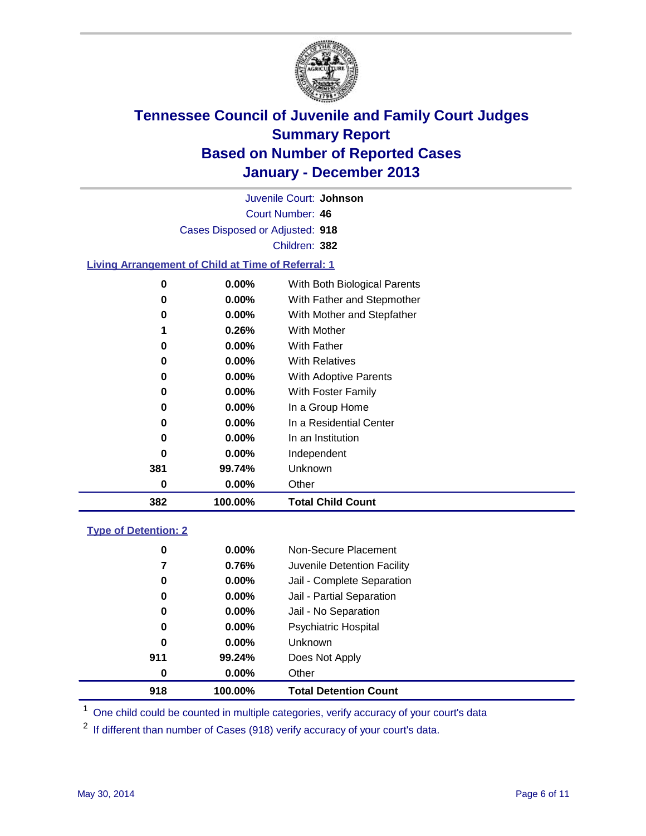

Court Number: **46** Juvenile Court: **Johnson** Cases Disposed or Adjusted: **918** Children: **382**

### **Living Arrangement of Child at Time of Referral: 1**

| 382 | 100.00%  | <b>Total Child Count</b>     |
|-----|----------|------------------------------|
| 0   | 0.00%    | Other                        |
| 381 | 99.74%   | Unknown                      |
| 0   | 0.00%    | Independent                  |
| 0   | 0.00%    | In an Institution            |
| 0   | $0.00\%$ | In a Residential Center      |
| 0   | $0.00\%$ | In a Group Home              |
| 0   | 0.00%    | With Foster Family           |
| 0   | 0.00%    | <b>With Adoptive Parents</b> |
| 0   | $0.00\%$ | <b>With Relatives</b>        |
| 0   | 0.00%    | With Father                  |
| 1   | 0.26%    | With Mother                  |
| 0   | 0.00%    | With Mother and Stepfather   |
| 0   | $0.00\%$ | With Father and Stepmother   |
| 0   | 0.00%    | With Both Biological Parents |
|     |          |                              |

### **Type of Detention: 2**

| 918 | 100.00%  | <b>Total Detention Count</b> |
|-----|----------|------------------------------|
| 0   | 0.00%    | Other                        |
| 911 | 99.24%   | Does Not Apply               |
| 0   | $0.00\%$ | <b>Unknown</b>               |
| 0   | $0.00\%$ | <b>Psychiatric Hospital</b>  |
| 0   | 0.00%    | Jail - No Separation         |
| 0   | 0.00%    | Jail - Partial Separation    |
| 0   | 0.00%    | Jail - Complete Separation   |
| 7   | 0.76%    | Juvenile Detention Facility  |
| 0   | 0.00%    | Non-Secure Placement         |
|     |          |                              |

<sup>1</sup> One child could be counted in multiple categories, verify accuracy of your court's data

<sup>2</sup> If different than number of Cases (918) verify accuracy of your court's data.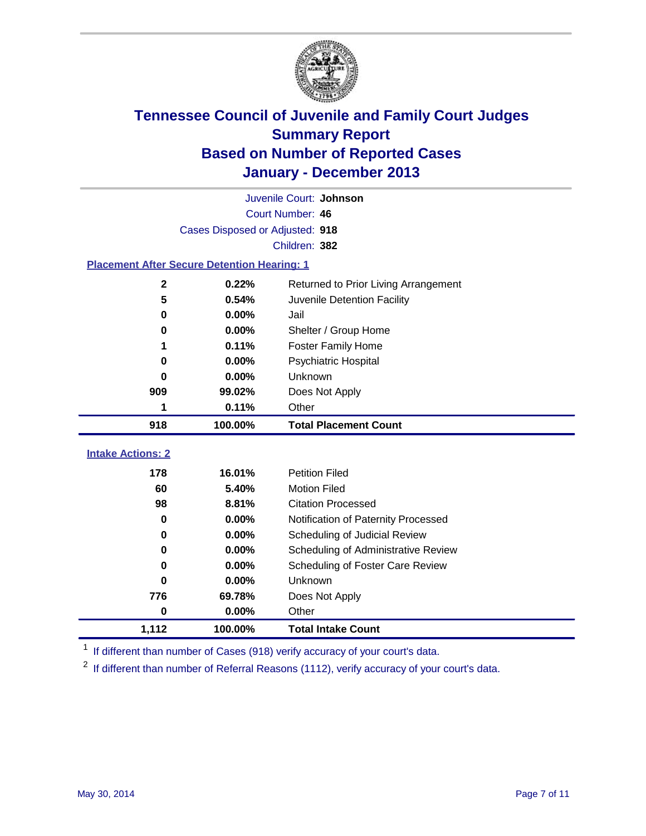

| Juvenile Court: Johnson                            |                                 |                                      |  |  |
|----------------------------------------------------|---------------------------------|--------------------------------------|--|--|
|                                                    |                                 | Court Number: 46                     |  |  |
|                                                    | Cases Disposed or Adjusted: 918 |                                      |  |  |
|                                                    |                                 | Children: 382                        |  |  |
| <b>Placement After Secure Detention Hearing: 1</b> |                                 |                                      |  |  |
| $\mathbf 2$                                        | 0.22%                           | Returned to Prior Living Arrangement |  |  |
| 5                                                  | 0.54%                           | Juvenile Detention Facility          |  |  |
| $\bf{0}$                                           | 0.00%                           | Jail                                 |  |  |
| 0                                                  | 0.00%                           | Shelter / Group Home                 |  |  |
| 1                                                  | 0.11%                           | <b>Foster Family Home</b>            |  |  |
| 0                                                  | 0.00%                           | Psychiatric Hospital                 |  |  |
| 0                                                  | 0.00%                           | Unknown                              |  |  |
| 909                                                | 99.02%                          | Does Not Apply                       |  |  |
| 1                                                  | 0.11%                           | Other                                |  |  |
|                                                    |                                 |                                      |  |  |
| 918                                                | 100.00%                         | <b>Total Placement Count</b>         |  |  |
|                                                    |                                 |                                      |  |  |
| <b>Intake Actions: 2</b>                           |                                 |                                      |  |  |
| 178                                                | 16.01%                          | <b>Petition Filed</b>                |  |  |
| 60                                                 | 5.40%                           | <b>Motion Filed</b>                  |  |  |
| 98                                                 | 8.81%                           | <b>Citation Processed</b>            |  |  |
| $\bf{0}$                                           | 0.00%                           | Notification of Paternity Processed  |  |  |
| 0                                                  | 0.00%                           | Scheduling of Judicial Review        |  |  |
| $\bf{0}$                                           | 0.00%                           | Scheduling of Administrative Review  |  |  |
| $\bf{0}$                                           | 0.00%                           | Scheduling of Foster Care Review     |  |  |
| 0                                                  | 0.00%                           | Unknown                              |  |  |
| 776                                                | 69.78%                          | Does Not Apply                       |  |  |
| $\bf{0}$                                           | 0.00%                           | Other                                |  |  |

<sup>1</sup> If different than number of Cases (918) verify accuracy of your court's data.

If different than number of Referral Reasons (1112), verify accuracy of your court's data.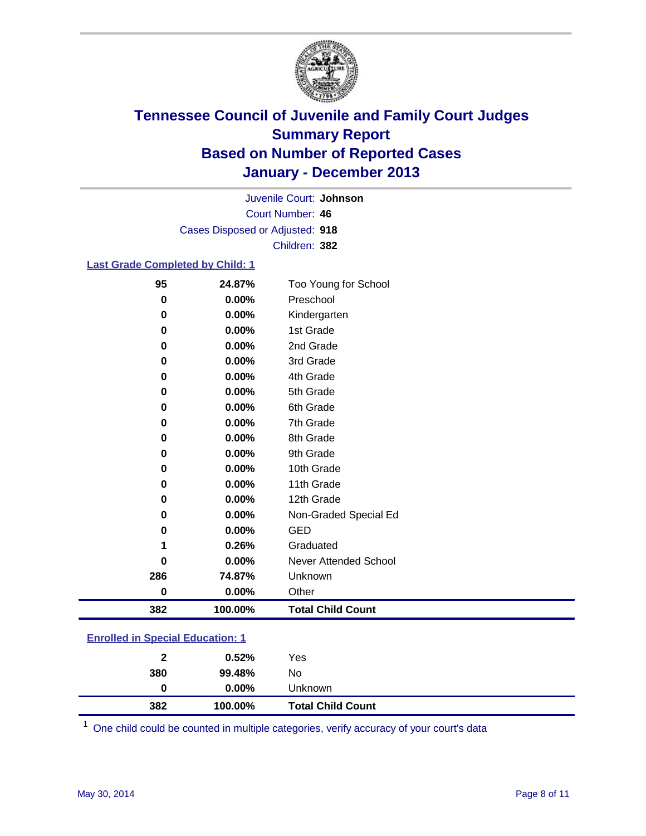

Court Number: **46** Juvenile Court: **Johnson** Cases Disposed or Adjusted: **918** Children: **382**

#### **Last Grade Completed by Child: 1**

| 95  | 24.87%  | Too Young for School     |
|-----|---------|--------------------------|
| 0   | 0.00%   | Preschool                |
| 0   | 0.00%   | Kindergarten             |
| 0   | 0.00%   | 1st Grade                |
| 0   | 0.00%   | 2nd Grade                |
| 0   | 0.00%   | 3rd Grade                |
| 0   | 0.00%   | 4th Grade                |
| 0   | 0.00%   | 5th Grade                |
| 0   | 0.00%   | 6th Grade                |
| 0   | 0.00%   | 7th Grade                |
| 0   | 0.00%   | 8th Grade                |
| 0   | 0.00%   | 9th Grade                |
| 0   | 0.00%   | 10th Grade               |
| 0   | 0.00%   | 11th Grade               |
| 0   | 0.00%   | 12th Grade               |
| 0   | 0.00%   | Non-Graded Special Ed    |
| 0   | 0.00%   | <b>GED</b>               |
| 1   | 0.26%   | Graduated                |
| 0   | 0.00%   | Never Attended School    |
| 286 | 74.87%  | Unknown                  |
| 0   | 0.00%   | Other                    |
| 382 | 100.00% | <b>Total Child Count</b> |

One child could be counted in multiple categories, verify accuracy of your court's data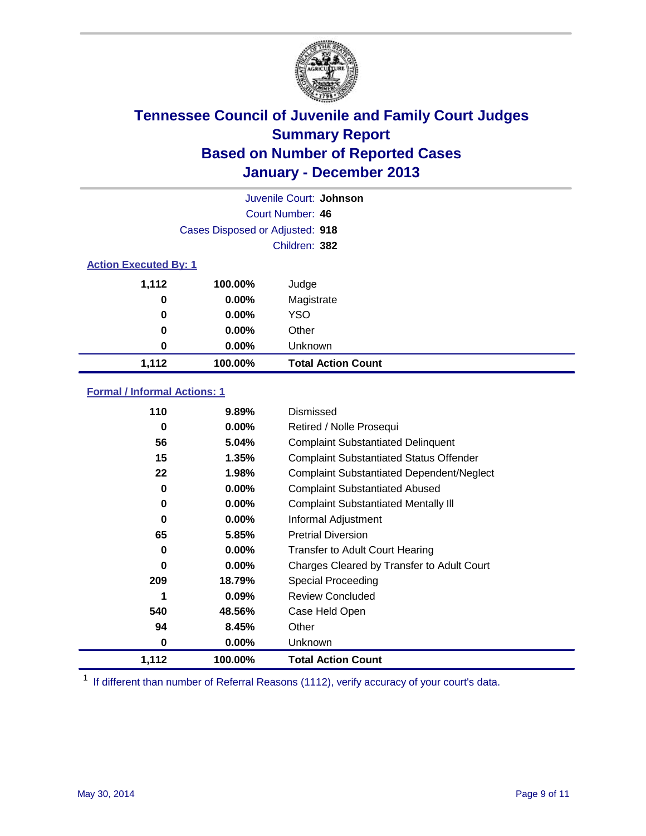

|          | Juvenile Court: Johnson         |                           |  |  |
|----------|---------------------------------|---------------------------|--|--|
|          |                                 | Court Number: 46          |  |  |
|          | Cases Disposed or Adjusted: 918 |                           |  |  |
|          |                                 | Children: 382             |  |  |
|          | <b>Action Executed By: 1</b>    |                           |  |  |
| 1,112    | 100.00%                         | Judge                     |  |  |
| 0        | $0.00\%$                        | Magistrate                |  |  |
| $\bf{0}$ | $0.00\%$                        | <b>YSO</b>                |  |  |
| 0        | $0.00\%$                        | Other                     |  |  |
| 0        | $0.00\%$                        | Unknown                   |  |  |
| 1,112    | 100.00%                         | <b>Total Action Count</b> |  |  |

### **Formal / Informal Actions: 1**

| 110      | $9.89\%$ | Dismissed                                        |
|----------|----------|--------------------------------------------------|
| 0        | $0.00\%$ | Retired / Nolle Prosequi                         |
| 56       | 5.04%    | <b>Complaint Substantiated Delinquent</b>        |
| 15       | 1.35%    | <b>Complaint Substantiated Status Offender</b>   |
| 22       | 1.98%    | <b>Complaint Substantiated Dependent/Neglect</b> |
| 0        | $0.00\%$ | <b>Complaint Substantiated Abused</b>            |
| 0        | $0.00\%$ | <b>Complaint Substantiated Mentally III</b>      |
| $\bf{0}$ | $0.00\%$ | Informal Adjustment                              |
| 65       | 5.85%    | <b>Pretrial Diversion</b>                        |
| 0        | $0.00\%$ | <b>Transfer to Adult Court Hearing</b>           |
| 0        | $0.00\%$ | Charges Cleared by Transfer to Adult Court       |
| 209      | 18.79%   | Special Proceeding                               |
|          | 0.09%    | <b>Review Concluded</b>                          |
| 540      | 48.56%   | Case Held Open                                   |
| 94       | 8.45%    | Other                                            |
| 0        | $0.00\%$ | <b>Unknown</b>                                   |
| 1,112    | 100.00%  | <b>Total Action Count</b>                        |

<sup>1</sup> If different than number of Referral Reasons (1112), verify accuracy of your court's data.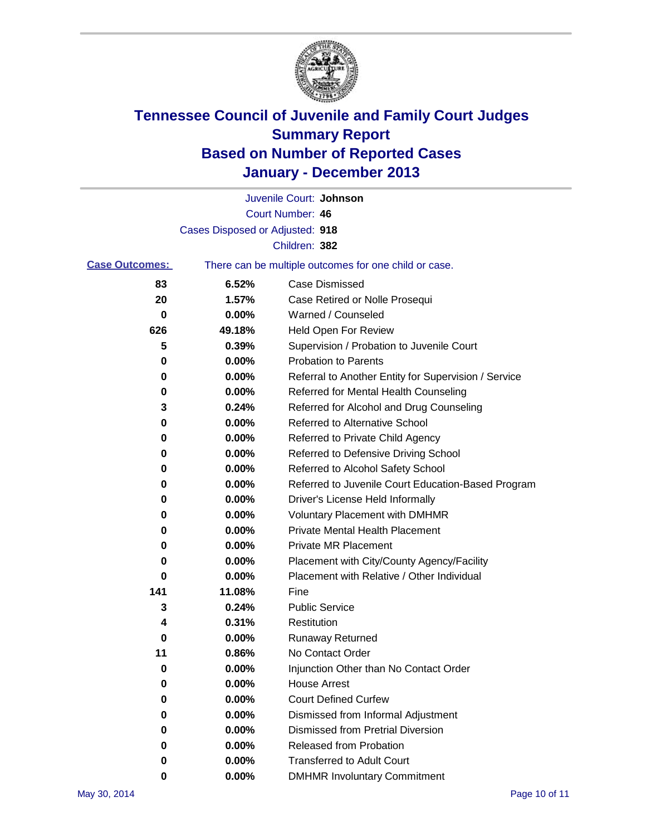

|                       |                                 | Juvenile Court: Johnson                               |
|-----------------------|---------------------------------|-------------------------------------------------------|
|                       |                                 | Court Number: 46                                      |
|                       | Cases Disposed or Adjusted: 918 |                                                       |
|                       |                                 | Children: 382                                         |
| <b>Case Outcomes:</b> |                                 | There can be multiple outcomes for one child or case. |
| 83                    | 6.52%                           | Case Dismissed                                        |
| 20                    | 1.57%                           | Case Retired or Nolle Prosequi                        |
| 0                     | 0.00%                           | Warned / Counseled                                    |
| 626                   | 49.18%                          | Held Open For Review                                  |
| 5                     | 0.39%                           | Supervision / Probation to Juvenile Court             |
| 0                     | 0.00%                           | <b>Probation to Parents</b>                           |
| 0                     | 0.00%                           | Referral to Another Entity for Supervision / Service  |
| 0                     | 0.00%                           | Referred for Mental Health Counseling                 |
| 3                     | 0.24%                           | Referred for Alcohol and Drug Counseling              |
| 0                     | 0.00%                           | Referred to Alternative School                        |
| 0                     | 0.00%                           | Referred to Private Child Agency                      |
| 0                     | 0.00%                           | Referred to Defensive Driving School                  |
| 0                     | 0.00%                           | Referred to Alcohol Safety School                     |
| 0                     | 0.00%                           | Referred to Juvenile Court Education-Based Program    |
| 0                     | 0.00%                           | Driver's License Held Informally                      |
| 0                     | 0.00%                           | <b>Voluntary Placement with DMHMR</b>                 |
| 0                     | 0.00%                           | <b>Private Mental Health Placement</b>                |
| 0                     | 0.00%                           | <b>Private MR Placement</b>                           |
| 0                     | 0.00%                           | Placement with City/County Agency/Facility            |
| 0                     | 0.00%                           | Placement with Relative / Other Individual            |
| 141                   | 11.08%                          | Fine                                                  |
| 3                     | 0.24%                           | <b>Public Service</b>                                 |
| 4                     | 0.31%                           | Restitution                                           |
| 0                     | 0.00%                           | <b>Runaway Returned</b>                               |
| 11                    | 0.86%                           | No Contact Order                                      |
| 0                     | 0.00%                           | Injunction Other than No Contact Order                |
| 0                     | 0.00%                           | <b>House Arrest</b>                                   |
| 0                     | 0.00%                           | <b>Court Defined Curfew</b>                           |
| 0                     | 0.00%                           | Dismissed from Informal Adjustment                    |
| 0                     | 0.00%                           | <b>Dismissed from Pretrial Diversion</b>              |
| 0                     | 0.00%                           | Released from Probation                               |
| 0                     | 0.00%                           | <b>Transferred to Adult Court</b>                     |
| 0                     | $0.00\%$                        | <b>DMHMR Involuntary Commitment</b>                   |